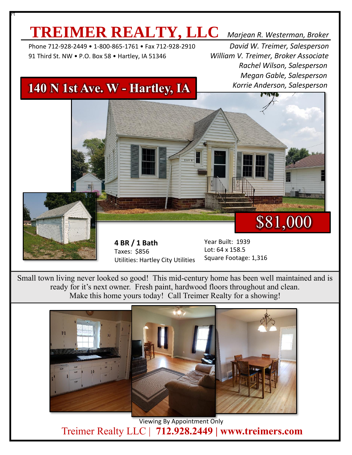# **TREIMER REALTY, LLC** *Marjean R. Westerman, Broker*

 Phone 712-928-2449 • 1-800-865-1761 • Fax 712-928-2910 *David W. Treimer, Salesperson* 91 Third St. NW • P.O. Box 58 • Hartley, IA 51346 *William V. Treimer, Broker Associate*

Pt

 *Rachel Wilson, Salesperson Megan Gable, Salesperson Korrie Anderson, Salesperson*

## **140 N 1st Ave. W - Hartley, IA**



Small town living never looked so good! This mid-century home has been well maintained and is ready for it's next owner. Fresh paint, hardwood floors throughout and clean. Make this home yours today! Call Treimer Realty for a showing!



 Viewing By Appointment Only Treimer Realty LLC | **712.928.2449 | www.treimers.com**